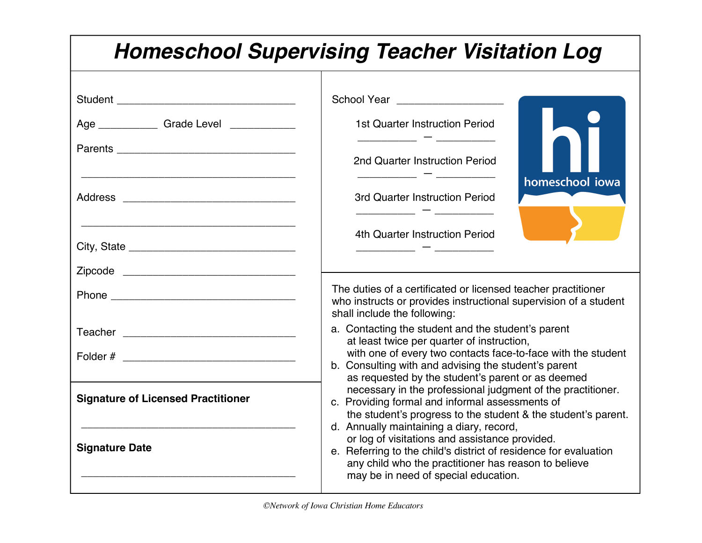| <b>Homeschool Supervising Teacher Visitation Log</b>                                                                                                                                                                           |                                                                                                                                                                                                                                                                                                                                                                                                                                                                                                                                                                                                                                |  |  |  |  |
|--------------------------------------------------------------------------------------------------------------------------------------------------------------------------------------------------------------------------------|--------------------------------------------------------------------------------------------------------------------------------------------------------------------------------------------------------------------------------------------------------------------------------------------------------------------------------------------------------------------------------------------------------------------------------------------------------------------------------------------------------------------------------------------------------------------------------------------------------------------------------|--|--|--|--|
|                                                                                                                                                                                                                                | School Year __________________                                                                                                                                                                                                                                                                                                                                                                                                                                                                                                                                                                                                 |  |  |  |  |
| Age ________________Grade Level _______________                                                                                                                                                                                | <b>1st Quarter Instruction Period</b>                                                                                                                                                                                                                                                                                                                                                                                                                                                                                                                                                                                          |  |  |  |  |
|                                                                                                                                                                                                                                | 2nd Quarter Instruction Period                                                                                                                                                                                                                                                                                                                                                                                                                                                                                                                                                                                                 |  |  |  |  |
|                                                                                                                                                                                                                                | homeschool iowa<br>3rd Quarter Instruction Period                                                                                                                                                                                                                                                                                                                                                                                                                                                                                                                                                                              |  |  |  |  |
|                                                                                                                                                                                                                                | 4th Quarter Instruction Period                                                                                                                                                                                                                                                                                                                                                                                                                                                                                                                                                                                                 |  |  |  |  |
|                                                                                                                                                                                                                                |                                                                                                                                                                                                                                                                                                                                                                                                                                                                                                                                                                                                                                |  |  |  |  |
|                                                                                                                                                                                                                                | The duties of a certificated or licensed teacher practitioner<br>who instructs or provides instructional supervision of a student<br>shall include the following:                                                                                                                                                                                                                                                                                                                                                                                                                                                              |  |  |  |  |
| Teacher Learner and the contract of the contract of the contract of the contract of the contract of the contract of the contract of the contract of the contract of the contract of the contract of the contract of the contra | a. Contacting the student and the student's parent<br>at least twice per quarter of instruction,                                                                                                                                                                                                                                                                                                                                                                                                                                                                                                                               |  |  |  |  |
|                                                                                                                                                                                                                                | with one of every two contacts face-to-face with the student<br>b. Consulting with and advising the student's parent<br>as requested by the student's parent or as deemed<br>necessary in the professional judgment of the practitioner.<br>c. Providing formal and informal assessments of<br>the student's progress to the student & the student's parent.<br>d. Annually maintaining a diary, record,<br>or log of visitations and assistance provided.<br>e. Referring to the child's district of residence for evaluation<br>any child who the practitioner has reason to believe<br>may be in need of special education. |  |  |  |  |
| <b>Signature of Licensed Practitioner</b>                                                                                                                                                                                      |                                                                                                                                                                                                                                                                                                                                                                                                                                                                                                                                                                                                                                |  |  |  |  |
| <b>Signature Date</b>                                                                                                                                                                                                          |                                                                                                                                                                                                                                                                                                                                                                                                                                                                                                                                                                                                                                |  |  |  |  |